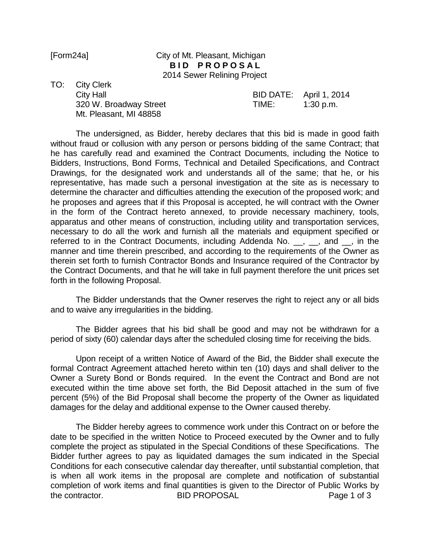## [Form24a] City of Mt. Pleasant, Michigan **BID PROPOSAL** 2014 Sewer Relining Project

TO: City Clerk Mt. Pleasant, MI 48858

City Hall BID DATE: April 1, 2014 320 W. Broadway Street TIME: 1:30 p.m.

The undersigned, as Bidder, hereby declares that this bid is made in good faith without fraud or collusion with any person or persons bidding of the same Contract; that he has carefully read and examined the Contract Documents, including the Notice to Bidders, Instructions, Bond Forms, Technical and Detailed Specifications, and Contract Drawings, for the designated work and understands all of the same; that he, or his representative, has made such a personal investigation at the site as is necessary to determine the character and difficulties attending the execution of the proposed work; and he proposes and agrees that if this Proposal is accepted, he will contract with the Owner in the form of the Contract hereto annexed, to provide necessary machinery, tools, apparatus and other means of construction, including utility and transportation services, necessary to do all the work and furnish all the materials and equipment specified or referred to in the Contract Documents, including Addenda No. \_\_, \_\_, and \_\_, in the manner and time therein prescribed, and according to the requirements of the Owner as therein set forth to furnish Contractor Bonds and Insurance required of the Contractor by the Contract Documents, and that he will take in full payment therefore the unit prices set forth in the following Proposal.

The Bidder understands that the Owner reserves the right to reject any or all bids and to waive any irregularities in the bidding.

The Bidder agrees that his bid shall be good and may not be withdrawn for a period of sixty (60) calendar days after the scheduled closing time for receiving the bids.

Upon receipt of a written Notice of Award of the Bid, the Bidder shall execute the formal Contract Agreement attached hereto within ten (10) days and shall deliver to the Owner a Surety Bond or Bonds required. In the event the Contract and Bond are not executed within the time above set forth, the Bid Deposit attached in the sum of five percent (5%) of the Bid Proposal shall become the property of the Owner as liquidated damages for the delay and additional expense to the Owner caused thereby.

The Bidder hereby agrees to commence work under this Contract on or before the date to be specified in the written Notice to Proceed executed by the Owner and to fully complete the project as stipulated in the Special Conditions of these Specifications. The Bidder further agrees to pay as liquidated damages the sum indicated in the Special Conditions for each consecutive calendar day thereafter, until substantial completion, that is when all work items in the proposal are complete and notification of substantial completion of work items and final quantities is given to the Director of Public Works by the contractor. The BID PROPOSAL **Page 1 of 3**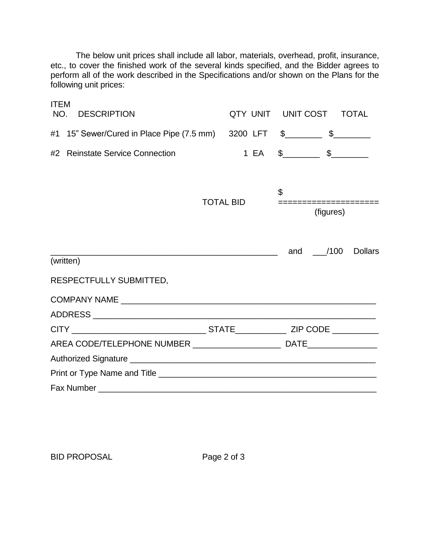The below unit prices shall include all labor, materials, overhead, profit, insurance, etc., to cover the finished work of the several kinds specified, and the Bidder agrees to perform all of the work described in the Specifications and/or shown on the Plans for the following unit prices:

| <b>ITEM</b><br>NO. | <b>DESCRIPTION</b>                                                                                                    |                  | QTY UNIT UNIT COST TOTAL |                                       |          |                |
|--------------------|-----------------------------------------------------------------------------------------------------------------------|------------------|--------------------------|---------------------------------------|----------|----------------|
| #1                 | 15" Sewer/Cured in Place Pipe (7.5 mm) 3200 LFT \$____________ \$__________                                           |                  |                          |                                       |          |                |
| #2                 | <b>Reinstate Service Connection</b>                                                                                   |                  |                          | 1 EA \$______________ \$_____________ |          |                |
|                    |                                                                                                                       |                  |                          |                                       |          |                |
|                    |                                                                                                                       | <b>TOTAL BID</b> |                          | \$                                    |          |                |
|                    |                                                                                                                       |                  |                          | =================<br>(figures)        |          |                |
|                    | <u> 1989 - Johann Barn, mars ar breithinn ar chwaraeth a bhaile ann an t-an an t-an ann an t-an ann an t-an ann a</u> |                  |                          |                                       | and /100 | <b>Dollars</b> |
|                    | (written)                                                                                                             |                  |                          |                                       |          |                |
|                    | RESPECTFULLY SUBMITTED,                                                                                               |                  |                          |                                       |          |                |
|                    |                                                                                                                       |                  |                          |                                       |          |                |
|                    |                                                                                                                       |                  |                          |                                       |          |                |
|                    |                                                                                                                       |                  |                          |                                       |          |                |
|                    |                                                                                                                       |                  |                          |                                       |          |                |
|                    |                                                                                                                       |                  |                          |                                       |          |                |
|                    |                                                                                                                       |                  |                          |                                       |          |                |
|                    |                                                                                                                       |                  |                          |                                       |          |                |

BID PROPOSAL Page 2 of 3